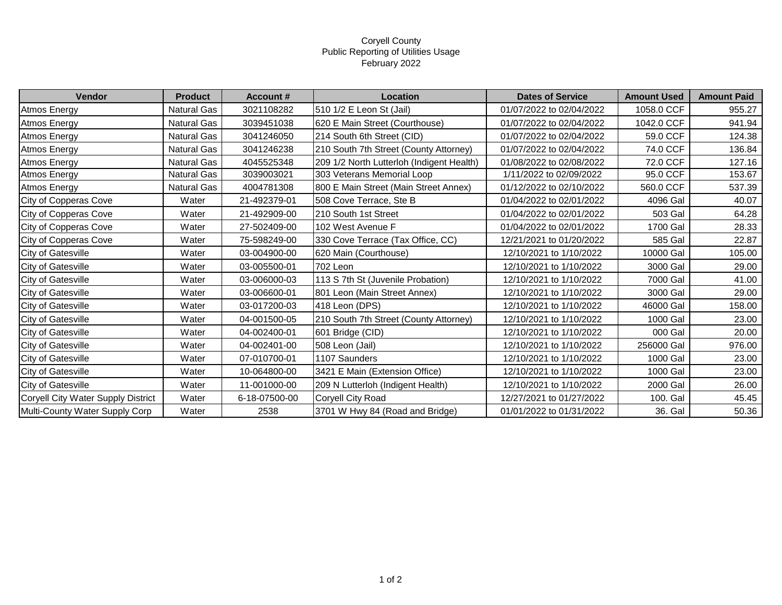## Coryell County Public Reporting of Utilities Usage February 2022

| Vendor                             | <b>Product</b>     | <b>Account #</b> | Location                                  | <b>Dates of Service</b>  | <b>Amount Used</b> | <b>Amount Paid</b> |
|------------------------------------|--------------------|------------------|-------------------------------------------|--------------------------|--------------------|--------------------|
| <b>Atmos Energy</b>                | <b>Natural Gas</b> | 3021108282       | 510 1/2 E Leon St (Jail)                  | 01/07/2022 to 02/04/2022 | 1058.0 CCF         | 955.27             |
| Atmos Energy                       | Natural Gas        | 3039451038       | 620 E Main Street (Courthouse)            | 01/07/2022 to 02/04/2022 | 1042.0 CCF         | 941.94             |
| Atmos Energy                       | Natural Gas        | 3041246050       | 214 South 6th Street (CID)                | 01/07/2022 to 02/04/2022 | 59.0 CCF           | 124.38             |
| Atmos Energy                       | Natural Gas        | 3041246238       | 210 South 7th Street (County Attorney)    | 01/07/2022 to 02/04/2022 | 74.0 CCF           | 136.84             |
| Atmos Energy                       | Natural Gas        | 4045525348       | 209 1/2 North Lutterloh (Indigent Health) | 01/08/2022 to 02/08/2022 | 72.0 CCF           | 127.16             |
| Atmos Energy                       | Natural Gas        | 3039003021       | 303 Veterans Memorial Loop                | 1/11/2022 to 02/09/2022  | 95.0 CCF           | 153.67             |
| Atmos Energy                       | <b>Natural Gas</b> | 4004781308       | 800 E Main Street (Main Street Annex)     | 01/12/2022 to 02/10/2022 | 560.0 CCF          | 537.39             |
| City of Copperas Cove              | Water              | 21-492379-01     | 508 Cove Terrace, Ste B                   | 01/04/2022 to 02/01/2022 | 4096 Gal           | 40.07              |
| City of Copperas Cove              | Water              | 21-492909-00     | 210 South 1st Street                      | 01/04/2022 to 02/01/2022 | 503 Gal            | 64.28              |
| City of Copperas Cove              | Water              | 27-502409-00     | 102 West Avenue F                         | 01/04/2022 to 02/01/2022 | 1700 Gal           | 28.33              |
| City of Copperas Cove              | Water              | 75-598249-00     | 330 Cove Terrace (Tax Office, CC)         | 12/21/2021 to 01/20/2022 | 585 Gal            | 22.87              |
| City of Gatesville                 | Water              | 03-004900-00     | 620 Main (Courthouse)                     | 12/10/2021 to 1/10/2022  | 10000 Gal          | 105.00             |
| City of Gatesville                 | Water              | 03-005500-01     | 702 Leon                                  | 12/10/2021 to 1/10/2022  | 3000 Gal           | 29.00              |
| <b>City of Gatesville</b>          | Water              | 03-006000-03     | 113 S 7th St (Juvenile Probation)         | 12/10/2021 to 1/10/2022  | 7000 Gal           | 41.00              |
| <b>City of Gatesville</b>          | Water              | 03-006600-01     | 801 Leon (Main Street Annex)              | 12/10/2021 to 1/10/2022  | 3000 Gal           | 29.00              |
| <b>City of Gatesville</b>          | Water              | 03-017200-03     | 418 Leon (DPS)                            | 12/10/2021 to 1/10/2022  | 46000 Gal          | 158.00             |
| City of Gatesville                 | Water              | 04-001500-05     | 210 South 7th Street (County Attorney)    | 12/10/2021 to 1/10/2022  | 1000 Gal           | 23.00              |
| <b>City of Gatesville</b>          | Water              | 04-002400-01     | 601 Bridge (CID)                          | 12/10/2021 to 1/10/2022  | 000 Gal            | 20.00              |
| <b>City of Gatesville</b>          | Water              | 04-002401-00     | 508 Leon (Jail)                           | 12/10/2021 to 1/10/2022  | 256000 Gal         | 976.00             |
| City of Gatesville                 | Water              | 07-010700-01     | 1107 Saunders                             | 12/10/2021 to 1/10/2022  | 1000 Gal           | 23.00              |
| City of Gatesville                 | Water              | 10-064800-00     | 3421 E Main (Extension Office)            | 12/10/2021 to 1/10/2022  | 1000 Gal           | 23.00              |
| City of Gatesville                 | Water              | 11-001000-00     | 209 N Lutterloh (Indigent Health)         | 12/10/2021 to 1/10/2022  | 2000 Gal           | 26.00              |
| Coryell City Water Supply District | Water              | 6-18-07500-00    | <b>Coryell City Road</b>                  | 12/27/2021 to 01/27/2022 | 100. Gal           | 45.45              |
| Multi-County Water Supply Corp     | Water              | 2538             | 3701 W Hwy 84 (Road and Bridge)           | 01/01/2022 to 01/31/2022 | 36. Gal            | 50.36              |